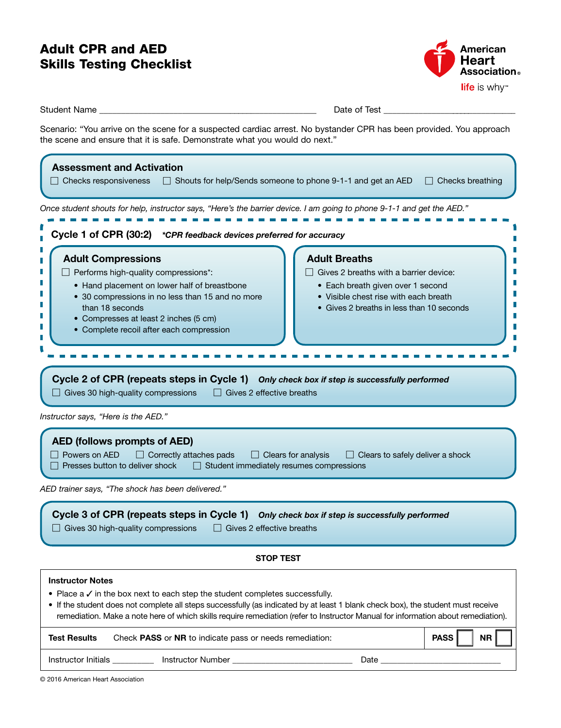# Adult CPR and AED Skills Testing Checklist



|                                                                                                                                                                                                                                                                                      | $\mathbf{m}$ is the set of $\mathbf{m}$                                                                                                                                                                                                                                                                                                                               |  |  |
|--------------------------------------------------------------------------------------------------------------------------------------------------------------------------------------------------------------------------------------------------------------------------------------|-----------------------------------------------------------------------------------------------------------------------------------------------------------------------------------------------------------------------------------------------------------------------------------------------------------------------------------------------------------------------|--|--|
| Student Name _________                                                                                                                                                                                                                                                               | Date of Test ____________                                                                                                                                                                                                                                                                                                                                             |  |  |
|                                                                                                                                                                                                                                                                                      | Scenario: "You arrive on the scene for a suspected cardiac arrest. No bystander CPR has been provided. You approach<br>the scene and ensure that it is safe. Demonstrate what you would do next."                                                                                                                                                                     |  |  |
| <b>Assessment and Activation</b><br>$\Box$ Checks responsiveness                                                                                                                                                                                                                     | □ Shouts for help/Sends someone to phone 9-1-1 and get an AED<br>$\Box$ Checks breathing                                                                                                                                                                                                                                                                              |  |  |
|                                                                                                                                                                                                                                                                                      | Once student shouts for help, instructor says, "Here's the barrier device. I am going to phone 9-1-1 and get the AED."                                                                                                                                                                                                                                                |  |  |
| Cycle 1 of CPR (30:2) *CPR feedback devices preferred for accuracy                                                                                                                                                                                                                   |                                                                                                                                                                                                                                                                                                                                                                       |  |  |
| <b>Adult Compressions</b><br>$\Box$ Performs high-quality compressions*:<br>• Hand placement on lower half of breastbone<br>• 30 compressions in no less than 15 and no more<br>than 18 seconds<br>• Compresses at least 2 inches (5 cm)<br>• Complete recoil after each compression | <b>Adult Breaths</b><br>Gives 2 breaths with a barrier device:<br>• Each breath given over 1 second<br>• Visible chest rise with each breath<br>• Gives 2 breaths in less than 10 seconds<br>Cycle 2 of CPR (repeats steps in Cycle 1) Only check box if step is successfully performed<br>$\Box$ Gives 30 high-quality compressions $\Box$ Gives 2 effective breaths |  |  |
| Instructor says, "Here is the AED."                                                                                                                                                                                                                                                  |                                                                                                                                                                                                                                                                                                                                                                       |  |  |
| <b>AED (follows prompts of AED)</b><br>Powers on AED                                                                                                                                                                                                                                 | $\Box$ Correctly attaches pads<br>$\Box$ Clears for analysis<br>$\Box$ Clears to safely deliver a shock<br>Presses button to deliver shock □ Student immediately resumes compressions                                                                                                                                                                                 |  |  |
| AED trainer says, "The shock has been delivered."                                                                                                                                                                                                                                    |                                                                                                                                                                                                                                                                                                                                                                       |  |  |
| Cycle 3 of CPR (repeats steps in Cycle 1)<br>$\Box$ Gives 30 high-quality compressions                                                                                                                                                                                               | Only check box if step is successfully performed<br>Gives 2 effective breaths<br>$\Box$                                                                                                                                                                                                                                                                               |  |  |
| <b>STOP TEST</b>                                                                                                                                                                                                                                                                     |                                                                                                                                                                                                                                                                                                                                                                       |  |  |
| <b>Instructor Notes</b>                                                                                                                                                                                                                                                              |                                                                                                                                                                                                                                                                                                                                                                       |  |  |
|                                                                                                                                                                                                                                                                                      | • Place $a \vee$ in the box next to each step the student completes successfully.<br>• If the student does not complete all steps successfully (as indicated by at least 1 blank check box), the student must receive                                                                                                                                                 |  |  |

remediation. Make a note here of which skills require remediation (refer to Instructor Manual for information about remediation).

| <b>Test Results</b> | Check <b>PASS</b> or <b>NR</b> to indicate pass or needs remediation: | NR  <br>PASS |
|---------------------|-----------------------------------------------------------------------|--------------|
| Instructor Initials | Instructor Number<br>Date                                             |              |

© 2016 American Heart Association